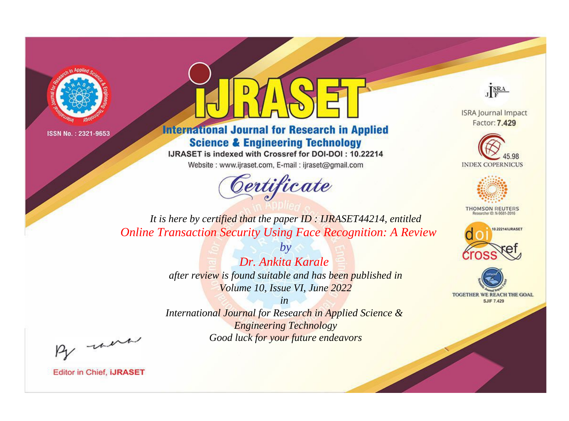



**International Journal for Research in Applied Science & Engineering Technology** 

IJRASET is indexed with Crossref for DOI-DOI: 10.22214

Website: www.ijraset.com, E-mail: ijraset@gmail.com



JERA

**ISRA Journal Impact** Factor: 7.429





**THOMSON REUTERS** 



TOGETHER WE REACH THE GOAL **SJIF 7.429** 

It is here by certified that the paper ID: IJRASET44214, entitled **Online Transaction Security Using Face Recognition: A Review** 

> $bv$ Dr. Ankita Karale after review is found suitable and has been published in Volume 10, Issue VI, June 2022

> $in$ International Journal for Research in Applied Science & **Engineering Technology** Good luck for your future endeavors

By morn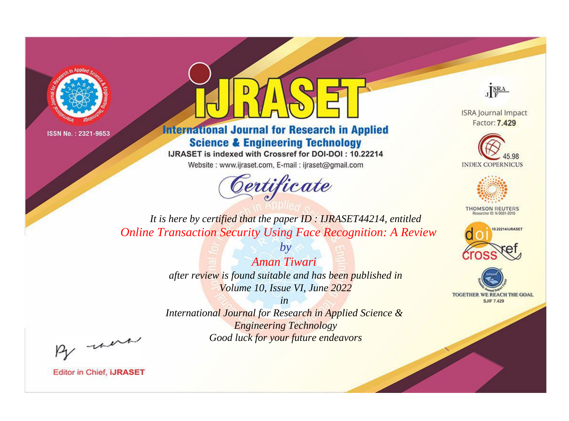



**International Journal for Research in Applied Science & Engineering Technology** 

IJRASET is indexed with Crossref for DOI-DOI: 10.22214

Website: www.ijraset.com, E-mail: ijraset@gmail.com



JERA

**ISRA Journal Impact** Factor: 7.429





**THOMSON REUTERS** 



TOGETHER WE REACH THE GOAL **SJIF 7.429** 

*It is here by certified that the paper ID : IJRASET44214, entitled Online Transaction Security Using Face Recognition: A Review*

> *Aman Tiwari after review is found suitable and has been published in Volume 10, Issue VI, June 2022*

*by*

*in* 

*International Journal for Research in Applied Science & Engineering Technology Good luck for your future endeavors*

By morn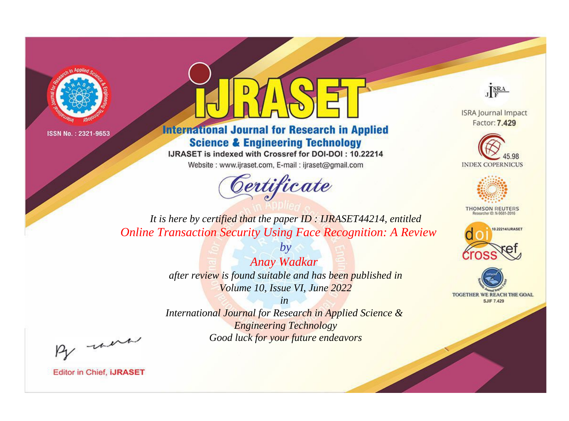



**International Journal for Research in Applied Science & Engineering Technology** 

IJRASET is indexed with Crossref for DOI-DOI: 10.22214

Website: www.ijraset.com, E-mail: ijraset@gmail.com



JERA

**ISRA Journal Impact** Factor: 7.429





**THOMSON REUTERS** 



TOGETHER WE REACH THE GOAL **SJIF 7.429** 

*It is here by certified that the paper ID : IJRASET44214, entitled Online Transaction Security Using Face Recognition: A Review*

> *by Anay Wadkar after review is found suitable and has been published in Volume 10, Issue VI, June 2022*

> > *in*

*International Journal for Research in Applied Science & Engineering Technology Good luck for your future endeavors*

By morn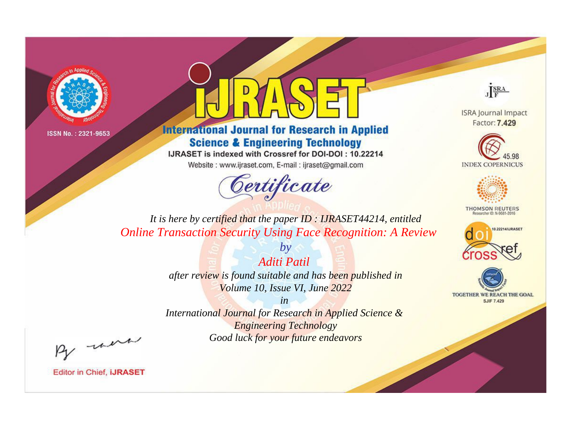



**International Journal for Research in Applied Science & Engineering Technology** 

IJRASET is indexed with Crossref for DOI-DOI: 10.22214

Website: www.ijraset.com, E-mail: ijraset@gmail.com



JERA

**ISRA Journal Impact** Factor: 7.429





**THOMSON REUTERS** 



TOGETHER WE REACH THE GOAL **SJIF 7.429** 

*It is here by certified that the paper ID : IJRASET44214, entitled Online Transaction Security Using Face Recognition: A Review*

> *Aditi Patil after review is found suitable and has been published in Volume 10, Issue VI, June 2022*

*by*

*in* 

*International Journal for Research in Applied Science & Engineering Technology Good luck for your future endeavors*

By morn